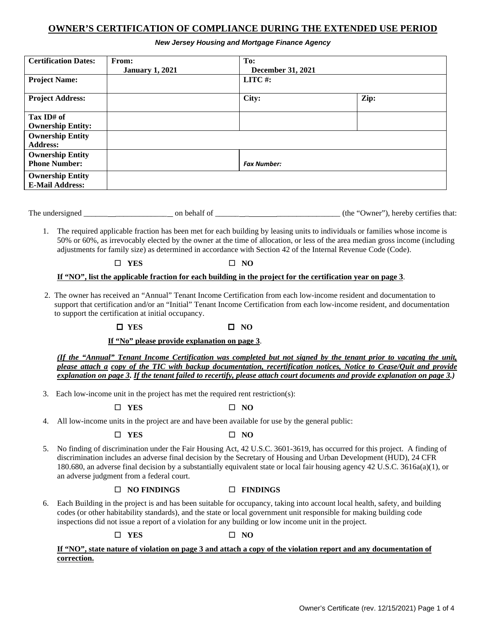# **OWNER'S CERTIFICATION OF COMPLIANCE DURING THE EXTENDED USE PERIOD**

#### *New Jersey Housing and Mortgage Finance Agency*

| <b>Certification Dates:</b> | From:                  | To:                      |      |
|-----------------------------|------------------------|--------------------------|------|
|                             | <b>January 1, 2021</b> | <b>December 31, 2021</b> |      |
| <b>Project Name:</b>        |                        | LITC#:                   |      |
| <b>Project Address:</b>     |                        | City:                    | Zip: |
| Tax ID# of                  |                        |                          |      |
| <b>Ownership Entity:</b>    |                        |                          |      |
| <b>Ownership Entity</b>     |                        |                          |      |
| <b>Address:</b>             |                        |                          |      |
| <b>Ownership Entity</b>     |                        |                          |      |
| <b>Phone Number:</b>        |                        | <b>Fax Number:</b>       |      |
| <b>Ownership Entity</b>     |                        |                          |      |
| <b>E-Mail Address:</b>      |                        |                          |      |

The undersigned and on behalf of  $\blacksquare$  on behalf of  $\blacksquare$  (the "Owner"), hereby certifies that:

1. The required applicable fraction has been met for each building by leasing units to individuals or families whose income is 50% or 60%, as irrevocably elected by the owner at the time of allocation, or less of the area median gross income (including adjustments for family size) as determined in accordance with Section 42 of the Internal Revenue Code (Code).

# $\Box$  YES  $\Box$  NO

### **If "NO", list the applicable fraction for each building in the project for the certification year on page 3**.

 2. The owner has received an "Annual" Tenant Income Certification from each low-income resident and documentation to support that certification and/or an "Initial" Tenant Income Certification from each low-income resident, and documentation to support the certification at initial occupancy.

# $\Box$  YES  $\Box$  NO

# **If "No" please provide explanation on page 3**.

*(If the "Annual" Tenant Income Certification was completed but not signed by the tenant prior to vacating the unit, please attach a copy of the TIC with backup documentation, recertification notices, Notice to Cease/Quit and provide explanation on page 3. If the tenant failed to recertify, please attach court documents and provide explanation on page 3.)*

3. Each low-income unit in the project has met the required rent restriction(s):

 $\Box$  YES  $\Box$  NO

4. All low-income units in the project are and have been available for use by the general public:

# $\Box$  YES  $\Box$  NO

5. No finding of discrimination under the Fair Housing Act, 42 U.S.C. 3601-3619, has occurred for this project. A finding of discrimination includes an adverse final decision by the Secretary of Housing and Urban Development (HUD), 24 CFR 180.680, an adverse final decision by a substantially equivalent state or local fair housing agency 42 U.S.C. 3616a(a)(1), or an adverse judgment from a federal court.

# **NO FINDINGS FINDINGS**

6. Each Building in the project is and has been suitable for occupancy, taking into account local health, safety, and building codes (or other habitability standards), and the state or local government unit responsible for making building code inspections did not issue a report of a violation for any building or low income unit in the project.

 $\Box$  YES  $\Box$  NO

### **If "NO", state nature of violation on page 3 and attach a copy of the violation report and any documentation of correction.**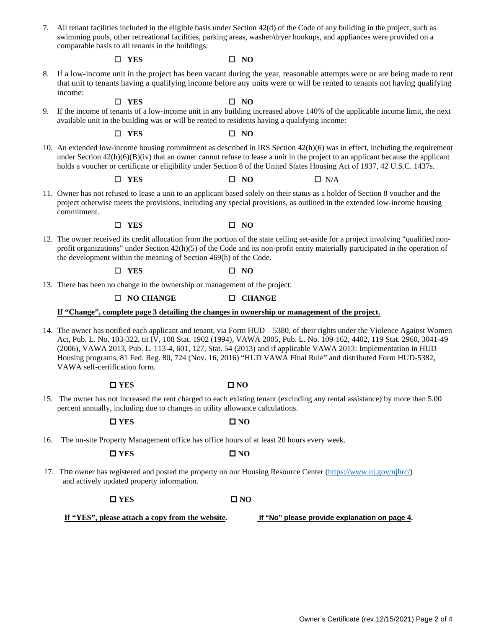7. All tenant facilities included in the eligible basis under Section 42(d) of the Code of any building in the project, such as swimming pools, other recreational facilities, parking areas, washer/dryer hookups, and appliances were provided on a comparable basis to all tenants in the buildings:

#### $\Box$  YES  $\Box$  NO

8. If a low-income unit in the project has been vacant during the year, reasonable attempts were or are being made to rent that unit to tenants having a qualifying income before any units were or will be rented to tenants not having qualifying income:

 $\Box$  YES  $\Box$  NO

9. If the income of tenants of a low-income unit in any building increased above 140% of the applicable income limit, the next available unit in the building was or will be rented to residents having a qualifying income:

 $\Box$  YES  $\Box$  NO

10. An extended low-income housing commitment as described in IRS Section 42(h)(6) was in effect, including the requirement under Section  $42(h)(6)(B)(iv)$  that an owner cannot refuse to lease a unit in the project to an applicant because the applicant holds a voucher or certificate or eligibility under Section 8 of the United States Housing Act of 1937, 42 U.S.C. 1437s.

 $\Box$  **YES**  $\Box$  **NO**  $\Box$  **N**/A

11. Owner has not refused to lease a unit to an applicant based solely on their status as a holder of Section 8 voucher and the project otherwise meets the provisions, including any special provisions, as outlined in the extended low-income housing commitment.

 $\Box$  YES  $\Box$  NO

12. The owner received its credit allocation from the portion of the state ceiling set-aside for a project involving "qualified nonprofit organizations" under Section 42(h)(5) of the Code and its non-profit entity materially participated in the operation of the development within the meaning of Section 469(h) of the Code.

#### $\Box$  YES  $\Box$  NO

13. There has been no change in the ownership or management of the project:

#### **NO CHANGE CHANGE**

#### **If "Change", complete page 3 detailing the changes in ownership or management of the project.**

14. The owner has notified each applicant and tenant, via Form HUD – 5380, of their rights under the Violence Against Women Act, Pub. L. No. 103-322, tit IV, 108 Stat. 1902 (1994), VAWA 2005, Pub. L. No. 109-162, 4402, 119 Stat. 2960, 3041-49 (2006), VAWA 2013, Pub. L. 113-4, 601, 127, Stat. 54 (2013) and if applicable VAWA 2013: Implementation in HUD Housing programs, 81 Fed. Reg. 80, 724 (Nov. 16, 2016) "HUD VAWA Final Rule" and distributed Form HUD-5382, VAWA self-certification form.

| $\square$ YES | $\square$ NO |
|---------------|--------------|
|---------------|--------------|

15. The owner has not increased the rent charged to each existing tenant (excluding any rental assistance) by more than 5.00 percent annually, including due to changes in utility allowance calculations.

#### $\Box$  **YES**  $\Box$  **NO**

16. The on-site Property Management office has office hours of at least 20 hours every week.

 $\Box$  YES  $\Box$  NO

 17. The owner has registered and posted the property on our Housing Resource Center [\(https://www.nj.gov/njhrc/\)](https://www.nj.gov/njhrc/) and actively updated property information.

#### $\Box$  YES  $\Box$  NO

 **If "YES", please attach a copy from the website. If "No" please provide explanation on page 4.**

Owner's Certificate (rev.12/15/2021) Page 2 of 4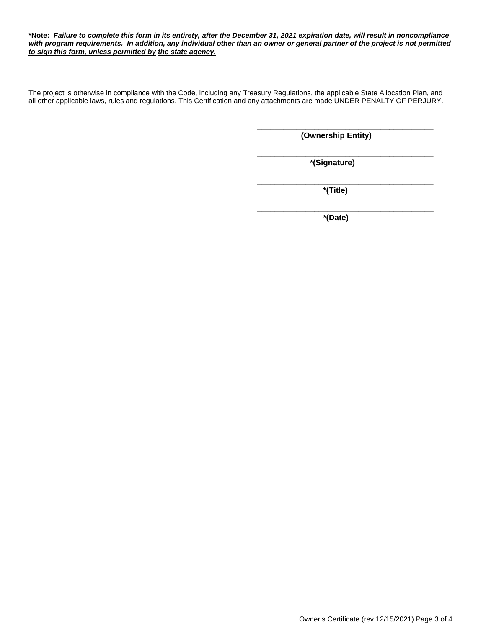#### **\*Note:** *Failure to complete this form in its entirety, after the December 31, 2021 expiration date, will result in noncompliance with program requirements. In addition, any individual other than an owner or general partner of the project is not permitted to sign this form, unless permitted by the state agency.*

The project is otherwise in compliance with the Code, including any Treasury Regulations, the applicable State Allocation Plan, and all other applicable laws, rules and regulations. This Certification and any attachments are made UNDER PENALTY OF PERJURY.

> **\_\_\_\_\_\_\_\_\_\_\_\_\_\_\_\_\_\_\_\_\_\_\_\_\_\_\_\_\_\_\_\_\_\_\_\_\_\_\_\_ (Ownership Entity)**

> **\_\_\_\_\_\_\_\_\_\_\_\_\_\_\_\_\_\_\_\_\_\_\_\_\_\_\_\_\_\_\_\_\_\_\_\_\_\_\_\_ \*(Signature)**

> **\_\_\_\_\_\_\_\_\_\_\_\_\_\_\_\_\_\_\_\_\_\_\_\_\_\_\_\_\_\_\_\_\_\_\_\_\_\_\_\_ \*(Title)**

> > **\*(Date)**

**\_\_\_\_\_\_\_\_\_\_\_\_\_\_\_\_\_\_\_\_\_\_\_\_\_\_\_\_\_\_\_\_\_\_\_\_\_\_\_\_**